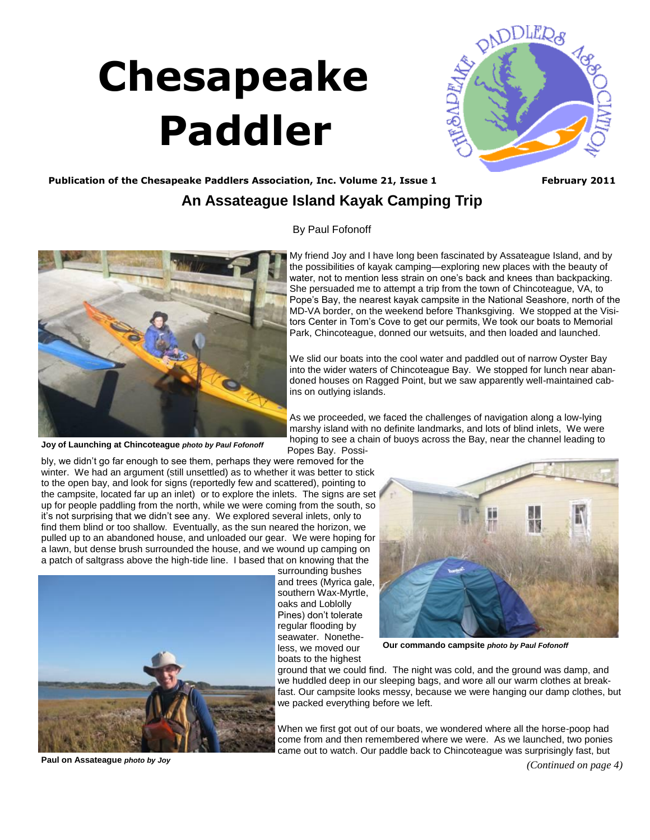# <span id="page-0-0"></span> **Chesapeake Paddler**



#### Publication of the Chesapeake Paddlers Association, Inc. Volume 21, Issue 1 **February 2011**

### **An Assateague Island Kayak Camping Trip**

By Paul Fofonoff



We slid our boats into the cool water and paddled out of narrow Oyster Bay into the wider waters of Chincoteague Bay. We stopped for lunch near abandoned houses on Ragged Point, but we saw apparently well-maintained cabins on outlying islands.

As we proceeded, we faced the challenges of navigation along a low-lying marshy island with no definite landmarks, and lots of blind inlets, We were hoping to see a chain of buoys across the Bay, near the channel leading to Popes Bay. Possi-

bly, we didn't go far enough to see them, perhaps they were removed for the winter. We had an argument (still unsettled) as to whether it was better to stick to the open bay, and look for signs (reportedly few and scattered), pointing to

the campsite, located far up an inlet) or to explore the inlets. The signs are set up for people paddling from the north, while we were coming from the south, so it's not surprising that we didn't see any. We explored several inlets, only to find them blind or too shallow. Eventually, as the sun neared the horizon, we pulled up to an abandoned house, and unloaded our gear. We were hoping for a lawn, but dense brush surrounded the house, and we wound up camping on a patch of saltgrass above the high-tide line. I based that on knowing that the



surrounding bushes and trees (Myrica gale, southern Wax-Myrtle, oaks and Loblolly Pines) don't tolerate regular flooding by seawater. Nonetheless, we moved our boats to the highest



**Our commando campsite** *photo by Paul Fofonoff*

ground that we could find. The night was cold, and the ground was damp, and we huddled deep in our sleeping bags, and wore all our warm clothes at breakfast. Our campsite looks messy, because we were hanging our damp clothes, but we packed everything before we left.

When we first got out of our boats, we wondered where all the horse-poop had come from and then remembered where we were. As we launched, two ponies came out to watch. Our paddle back to Chincoteague was surprisingly fast, but

**Paul on Assateague** *photo by Joy*